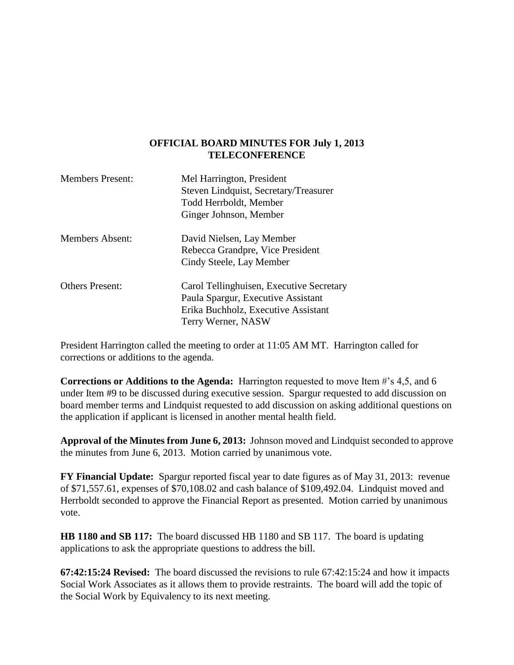#### **OFFICIAL BOARD MINUTES FOR July 1, 2013 TELECONFERENCE**

| <b>Members Present:</b> | Mel Harrington, President<br>Steven Lindquist, Secretary/Treasurer<br>Todd Herrboldt, Member<br>Ginger Johnson, Member                      |
|-------------------------|---------------------------------------------------------------------------------------------------------------------------------------------|
| <b>Members Absent:</b>  | David Nielsen, Lay Member<br>Rebecca Grandpre, Vice President<br>Cindy Steele, Lay Member                                                   |
| <b>Others Present:</b>  | Carol Tellinghuisen, Executive Secretary<br>Paula Spargur, Executive Assistant<br>Erika Buchholz, Executive Assistant<br>Terry Werner, NASW |

President Harrington called the meeting to order at 11:05 AM MT. Harrington called for corrections or additions to the agenda.

**Corrections or Additions to the Agenda:** Harrington requested to move Item #'s 4,5, and 6 under Item #9 to be discussed during executive session. Spargur requested to add discussion on board member terms and Lindquist requested to add discussion on asking additional questions on the application if applicant is licensed in another mental health field.

**Approval of the Minutes from June 6, 2013:** Johnson moved and Lindquist seconded to approve the minutes from June 6, 2013. Motion carried by unanimous vote.

**FY Financial Update:** Spargur reported fiscal year to date figures as of May 31, 2013: revenue of \$71,557.61, expenses of \$70,108.02 and cash balance of \$109,492.04. Lindquist moved and Herrboldt seconded to approve the Financial Report as presented. Motion carried by unanimous vote.

**HB 1180 and SB 117:** The board discussed HB 1180 and SB 117. The board is updating applications to ask the appropriate questions to address the bill.

**67:42:15:24 Revised:** The board discussed the revisions to rule 67:42:15:24 and how it impacts Social Work Associates as it allows them to provide restraints. The board will add the topic of the Social Work by Equivalency to its next meeting.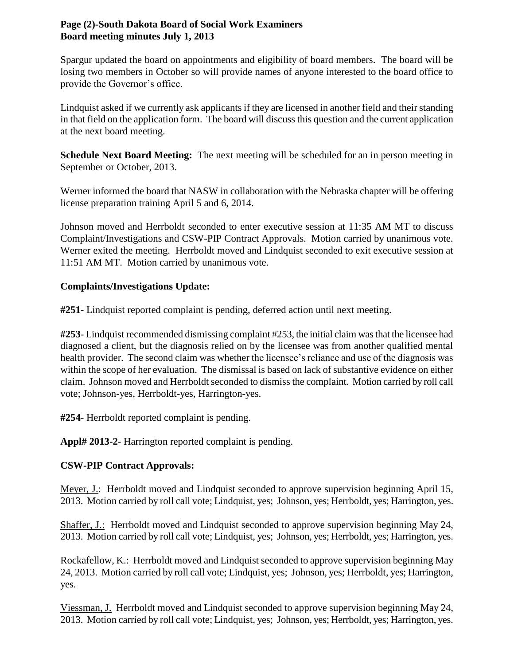## **Page (2)-South Dakota Board of Social Work Examiners Board meeting minutes July 1, 2013**

Spargur updated the board on appointments and eligibility of board members. The board will be losing two members in October so will provide names of anyone interested to the board office to provide the Governor's office.

Lindquist asked if we currently ask applicants if they are licensed in another field and their standing in that field on the application form. The board will discuss this question and the current application at the next board meeting.

**Schedule Next Board Meeting:** The next meeting will be scheduled for an in person meeting in September or October, 2013.

Werner informed the board that NASW in collaboration with the Nebraska chapter will be offering license preparation training April 5 and 6, 2014.

Johnson moved and Herrboldt seconded to enter executive session at 11:35 AM MT to discuss Complaint/Investigations and CSW-PIP Contract Approvals. Motion carried by unanimous vote. Werner exited the meeting. Herrboldt moved and Lindquist seconded to exit executive session at 11:51 AM MT. Motion carried by unanimous vote.

# **Complaints/Investigations Update:**

**#251-** Lindquist reported complaint is pending, deferred action until next meeting.

**#253**- Lindquist recommended dismissing complaint #253, the initial claim was that the licensee had diagnosed a client, but the diagnosis relied on by the licensee was from another qualified mental health provider. The second claim was whether the licensee's reliance and use of the diagnosis was within the scope of her evaluation. The dismissal is based on lack of substantive evidence on either claim. Johnson moved and Herrboldt seconded to dismiss the complaint. Motion carried by roll call vote; Johnson-yes, Herrboldt-yes, Harrington-yes.

**#254**- Herrboldt reported complaint is pending.

**Appl# 2013-2**- Harrington reported complaint is pending.

# **CSW-PIP Contract Approvals:**

Meyer, J.: Herrboldt moved and Lindquist seconded to approve supervision beginning April 15, 2013. Motion carried by roll call vote; Lindquist, yes; Johnson, yes; Herrboldt, yes; Harrington, yes.

Shaffer, J.: Herrboldt moved and Lindquist seconded to approve supervision beginning May 24, 2013. Motion carried by roll call vote; Lindquist, yes; Johnson, yes; Herrboldt, yes; Harrington, yes.

Rockafellow, K.: Herrboldt moved and Lindquist seconded to approve supervision beginning May 24, 2013. Motion carried by roll call vote; Lindquist, yes; Johnson, yes; Herrboldt, yes; Harrington, yes.

Viessman, J. Herrboldt moved and Lindquist seconded to approve supervision beginning May 24, 2013. Motion carried by roll call vote; Lindquist, yes; Johnson, yes; Herrboldt, yes; Harrington, yes.